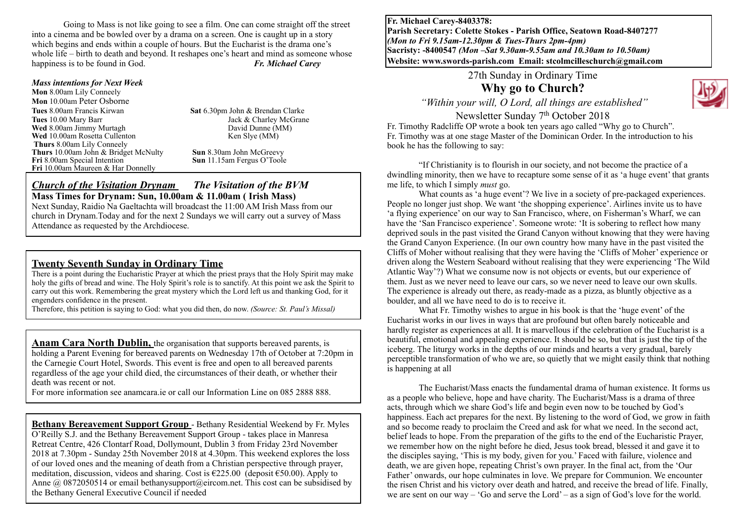Going to Mass is not like going to see a film. One can come straight off the street into a cinema and be bowled over by a drama on a screen. One is caught up in a story which begins and ends within a couple of hours. But the Eucharist is the drama one's whole life – birth to death and beyond. It reshapes one's heart and mind as someone whose happiness is to be found in God. *Fr. Michael Carey*

#### *Mass intentions for Next Week*

**Mon** 8.00am Lily Conneely **Mon** 10.00am Peter Osborne **Tues** 8.00am Francis Kirwan **Sat** 6.30pm John & Brendan Clarke **Tues** 10.00 Mary Barr Jack & Charley McGrane **Wed** 8.00am Jimmy Murtagh **David Dunne (MM)**<br> **Wed** 10.00am Rosetta Cullenton **David Burtage Community David Dunne (MM) Wed** 10.00am Rosetta Cullenton **Thurs** 8.00am Lily Conneely **Thurs** 10.00am John & Bridget McNulty **Sun** 8.30am John McGreevy **Fri** 8.00am Special Intention **Sun** 11.15am Fergus O'Toole **Fri** 10.00am Maureen & Har Donnelly

#### *Church of the Visitation Drynam**The Visitation of the BVM* **Mass Times for Drynam: Sun, 10.00am & 11.00am ( Irish Mass)**

Next Sunday, Raidio Na Gaeltachta will broadcast the 11:00 AM Irish Mass from our church in Drynam.Today and for the next 2 Sundays we will carry out a survey of Mass Attendance as requested by the Archdiocese.

#### **Twenty Seventh Sunday in Ordinary Time**

There is a point during the Eucharistic Prayer at which the priest prays that the Holy Spirit may make holy the gifts of bread and wine. The Holy Spirit's role is to sanctify. At this point we ask the Spirit to carry out this work. Remembering the great mystery which the Lord left us and thanking God, for it engenders confidence in the present.

Therefore, this petition is saying to God: what you did then, do now. *(Source: St. Paul's Missal)*

**Anam Cara North Dublin,** the organisation that supports bereaved parents, is holding a Parent Evening for bereaved parents on Wednesday 17th of October at 7:20pm in the Carnegie Court Hotel, Swords. This event is free and open to all bereaved parents regardless of the age your child died, the circumstances of their death, or whether their death was recent or not.

For more information see anamcara.ie or call our Information Line on 085 2888 888.

**Bethany Bereavement Support Group** - Bethany Residential Weekend by Fr. Myles O'Reilly S.J. and the Bethany Bereavement Support Group - takes place in Manresa Retreat Centre, 426 Clontarf Road, Dollymount, Dublin 3 from Friday 23rd November 2018 at 7.30pm - Sunday 25th November 2018 at 4.30pm. This weekend explores the loss of our loved ones and the meaning of death from a Christian perspective through prayer, meditation, discussion, videos and sharing. Cost is  $\epsilon$ 225.00 (deposit  $\epsilon$ 50.00). Apply to Anne @ 0872050514 or email bethanysupport@eircom.net. This cost can be subsidised by the Bethany General Executive Council if needed

**Fr. Michael Carey-8403378: Parish Secretary: Colette Stokes - Parish Office, Seatown Road-8407277**  *(Mon to Fri 9.15am-12.30pm & Tues-Thurs 2pm-4pm)*  **Sacristy: -8400547** *(Mon –Sat 9.30am-9.55am and 10.30am to 10.50am)* **Website: [www.swords-parish.com Email:](http://www.swords-parish.com%20%20email) stcolmcilleschurch@gmail.com**

27th Sunday in Ordinary Time

**Why go to Church?** 

 *"Within your will, O Lord, all things are established"* 

Newsletter Sunday 7th October 2018

Fr. Timothy Radcliffe OP wrote a book ten years ago called "Why go to Church". Fr. Timothy was at one stage Master of the Dominican Order. In the introduction to his book he has the following to say:

"If Christianity is to flourish in our society, and not become the practice of a dwindling minority, then we have to recapture some sense of it as 'a huge event' that grants me life, to which I simply *must* go.

What counts as 'a huge event'? We live in a society of pre-packaged experiences. People no longer just shop. We want 'the shopping experience'. Airlines invite us to have 'a flying experience' on our way to San Francisco, where, on Fisherman's Wharf, we can have the 'San Francisco experience'. Someone wrote: 'It is sobering to reflect how many deprived souls in the past visited the Grand Canyon without knowing that they were having the Grand Canyon Experience. (In our own country how many have in the past visited the Cliffs of Moher without realising that they were having the 'Cliffs of Moher' experience or driven along the Western Seaboard without realising that they were experiencing 'The Wild Atlantic Way'?) What we consume now is not objects or events, but our experience of them. Just as we never need to leave our cars, so we never need to leave our own skulls. The experience is already out there, as ready-made as a pizza, as bluntly objective as a boulder, and all we have need to do is to receive it.

What Fr. Timothy wishes to argue in his book is that the 'huge event' of the Eucharist works in our lives in ways that are profound but often barely noticeable and hardly register as experiences at all. It is marvellous if the celebration of the Eucharist is a beautiful, emotional and appealing experience. It should be so, but that is just the tip of the iceberg. The liturgy works in the depths of our minds and hearts a very gradual, barely perceptible transformation of who we are, so quietly that we might easily think that nothing is happening at all

The Eucharist/Mass enacts the fundamental drama of human existence. It forms us as a people who believe, hope and have charity. The Eucharist/Mass is a drama of three acts, through which we share God's life and begin even now to be touched by God's happiness. Each act prepares for the next. By listening to the word of God, we grow in faith and so become ready to proclaim the Creed and ask for what we need. In the second act, belief leads to hope. From the preparation of the gifts to the end of the Eucharistic Prayer, we remember how on the night before he died, Jesus took bread, blessed it and gave it to the disciples saying, 'This is my body, given for you.' Faced with failure, violence and death, we are given hope, repeating Christ's own prayer. In the final act, from the 'Our Father' onwards, our hope culminates in love. We prepare for Communion. We encounter the risen Christ and his victory over death and hatred, and receive the bread of life. Finally, we are sent on our way – 'Go and serve the Lord' – as a sign of God's love for the world.